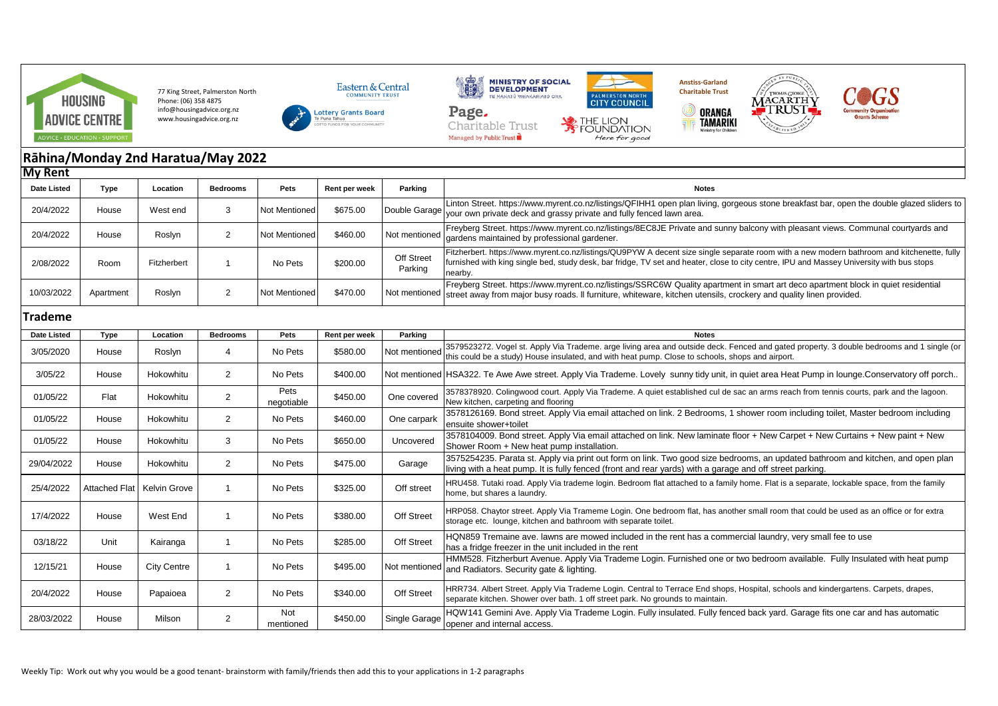

77 King Street, Palmerston North Phone: (06) 358 4875 info@housingadvice.org.nz www.housingadvice.org.nz









**TAMARIKI** 



## **Rāhina/Monday 2nd Haratua/May 2022 My Rent**

| ווסא וע            |               |                    |                 |                    |               |                       |                                                                                                                                                                                                                                                                                                    |
|--------------------|---------------|--------------------|-----------------|--------------------|---------------|-----------------------|----------------------------------------------------------------------------------------------------------------------------------------------------------------------------------------------------------------------------------------------------------------------------------------------------|
| <b>Date Listed</b> | Type          | Location           | <b>Bedrooms</b> | Pets               | Rent per week | Parking               | <b>Notes</b>                                                                                                                                                                                                                                                                                       |
| 20/4/2022          | House         | West end           | 3               | Not Mentioned      | \$675.00      | Double Garage         | Linton Street. https://www.myrent.co.nz/listings/QFIHH1 open plan living, gorgeous stone breakfast bar, open the double glazed sliders to<br>your own private deck and grassy private and fully fenced lawn area.                                                                                  |
| 20/4/2022          | House         | Roslyn             | $\overline{2}$  | Not Mentioned      | \$460.00      | Not mentioned         | Freyberg Street. https://www.myrent.co.nz/listings/8EC8JE Private and sunny balcony with pleasant views. Communal courtyards and<br>gardens maintained by professional gardener.                                                                                                                   |
| 2/08/2022          | Room          | Fitzherbert        | $\mathbf{1}$    | No Pets            | \$200.00      | Off Street<br>Parking | Fitzherbert. https://www.myrent.co.nz/listings/QU9PYW A decent size single separate room with a new modern bathroom and kitchenette, fully<br>furnished with king single bed, study desk, bar fridge, TV set and heater, close to city centre, IPU and Massey University with bus stops<br>nearby. |
| 10/03/2022         | Apartment     | Roslyn             | 2               | Not Mentioned      | \$470.00      | Not mentioned         | Freyberg Street. https://www.myrent.co.nz/listings/SSRC6W Quality apartment in smart art deco apartment block in quiet residential<br>street away from major busy roads. Il furniture, whiteware, kitchen utensils, crockery and quality linen provided.                                           |
| Trademe            |               |                    |                 |                    |               |                       |                                                                                                                                                                                                                                                                                                    |
| Date Listed        | <b>Type</b>   | Location           | <b>Bedrooms</b> | Pets               | Rent per week | Parking               | <b>Notes</b>                                                                                                                                                                                                                                                                                       |
| 3/05/2020          | House         | Roslyn             | 4               | No Pets            | \$580.00      | Not mentioned         | 3579523272. Vogel st. Apply Via Trademe. arge living area and outside deck. Fenced and gated property. 3 double bedrooms and 1 single (or<br>this could be a study) House insulated, and with heat pump. Close to schools, shops and airport.                                                      |
| 3/05/22            | House         | Hokowhitu          | $\overline{2}$  | No Pets            | \$400.00      |                       | Not mentioned HSA322. Te Awe Awe street. Apply Via Trademe. Lovely sunny tidy unit, in quiet area Heat Pump in lounge Conservatory off porch                                                                                                                                                       |
| 01/05/22           | Flat          | Hokowhitu          | 2               | Pets<br>negotiable | \$450.00      | One covered           | 3578378920. Colingwood court. Apply Via Trademe. A quiet established cul de sac an arms reach from tennis courts, park and the lagoon.<br>New kitchen, carpeting and flooring                                                                                                                      |
| 01/05/22           | House         | Hokowhitu          | $\overline{2}$  | No Pets            | \$460.00      | One carpark           | 3578126169. Bond street. Apply Via email attached on link. 2 Bedrooms, 1 shower room including toilet, Master bedroom including<br>ensuite shower+toilet                                                                                                                                           |
| 01/05/22           | House         | Hokowhitu          | 3               | No Pets            | \$650.00      | Uncovered             | 3578104009. Bond street. Apply Via email attached on link. New laminate floor + New Carpet + New Curtains + New paint + New<br>Shower Room + New heat pump installation.                                                                                                                           |
| 29/04/2022         | House         | Hokowhitu          | 2               | No Pets            | \$475.00      | Garage                | 3575254235. Parata st. Apply via print out form on link. Two good size bedrooms, an updated bathroom and kitchen, and open plan<br>living with a heat pump. It is fully fenced (front and rear yards) with a garage and off street parking.                                                        |
| 25/4/2022          | Attached Flat | Kelvin Grove       | $\mathbf{1}$    | No Pets            | \$325.00      | Off street            | HRU458. Tutaki road. Apply Via trademe login. Bedroom flat attached to a family home. Flat is a separate, lockable space, from the family<br>home, but shares a laundry.                                                                                                                           |
| 17/4/2022          | House         | West End           | $\mathbf{1}$    | No Pets            | \$380.00      | Off Street            | HRP058. Chaytor street. Apply Via Trameme Login. One bedroom flat, has another small room that could be used as an office or for extra<br>storage etc. lounge, kitchen and bathroom with separate toilet.                                                                                          |
| 03/18/22           | Unit          | Kairanga           | $\mathbf{1}$    | No Pets            | \$285.00      | <b>Off Street</b>     | HQN859 Tremaine ave. lawns are mowed included in the rent has a commercial laundry, very small fee to use<br>has a fridge freezer in the unit included in the rent                                                                                                                                 |
| 12/15/21           | House         | <b>City Centre</b> | $\mathbf{1}$    | No Pets            | \$495.00      | Not mentioned         | HMM528. Fitzherburt Avenue. Apply Via Trademe Login. Furnished one or two bedroom available. Fully Insulated with heat pump<br>and Radiators. Security gate & lighting.                                                                                                                            |
| 20/4/2022          | House         | Papaioea           | $\overline{2}$  | No Pets            | \$340.00      | Off Street            | HRR734. Albert Street. Apply Via Trademe Login. Central to Terrace End shops, Hospital, schools and kindergartens. Carpets, drapes,<br>separate kitchen. Shower over bath. 1 off street park. No grounds to maintain.                                                                              |
| 28/03/2022         | House         | Milson             | $\overline{2}$  | Not<br>mentioned   | \$450.00      | Single Garage         | HQW141 Gemini Ave. Apply Via Trademe Login. Fully insulated. Fully fenced back yard. Garage fits one car and has automatic<br>opener and internal access.                                                                                                                                          |